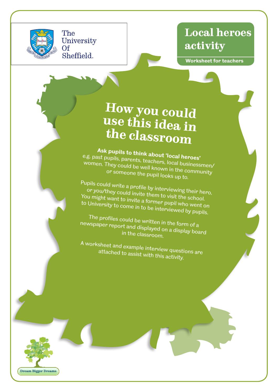

The

Sheffield.

## **Local heroes activity**

**Worksheet for teachers**

## **How you could use this idea in the classroom**

**Ask pupils to think about 'local heroes'**  e.g. past pupils, parents, teachers, local businessmen/ women. They could be well known in the community or someone the pupil looks up to.

Pupils could write a profile by interviewing their hero, or you/they could invite them to visit the school. You might want to invite a former pupil who went on to University to come in to be interviewed by pupils.

The profiles could be written in the form of a newspaper report and displayed on a display board in the classroom.

A worksheet and example interview questions are attached to assist with this activity.

**Dream Bigger Dreams**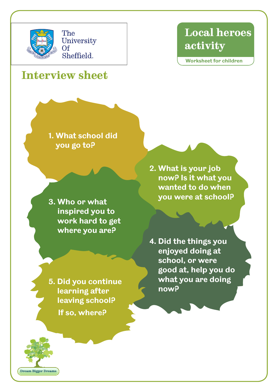

The University Of Sheffield.

**Interview sheet**

## **Local heroes activity**

**Worksheet for children**

**1. What school did** 

**you go to?**

**3. Who or what inspired you to work hard to get where you are?**

**2. What is your job now? Is it what you wanted to do when you were at school?**

**4. Did the things you enjoyed doing at school, or were good at, help you do what you are doing now?**

**5. Did you continue learning after leaving school? If so, where?**